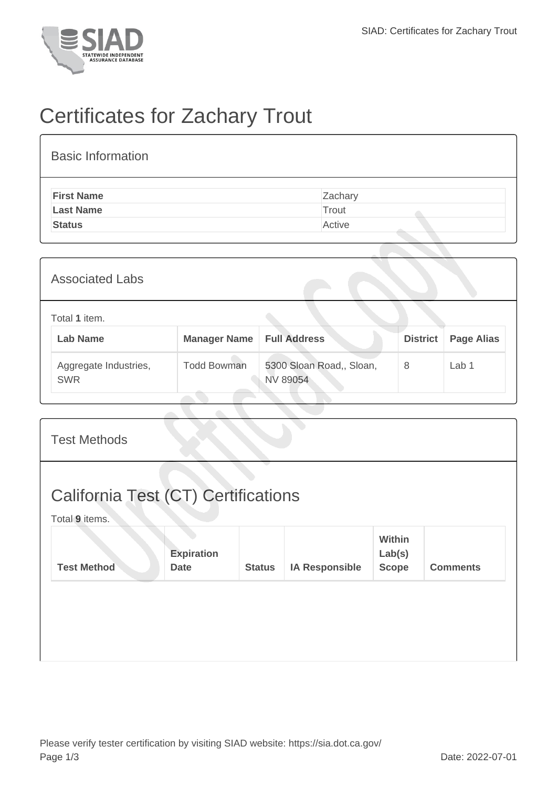

## Certificates for Zachary Trout

| <b>Basic Information</b> |         |
|--------------------------|---------|
| <b>First Name</b>        | Zachary |
| <b>Last Name</b>         | Trout   |
| <b>Status</b>            | Active  |

| <b>Associated Labs</b>              |                                    |                                      |                 |                   |
|-------------------------------------|------------------------------------|--------------------------------------|-----------------|-------------------|
| Total 1 item.<br><b>Lab Name</b>    | <b>Manager Name   Full Address</b> |                                      | <b>District</b> | <b>Page Alias</b> |
| Aggregate Industries,<br><b>SWR</b> | <b>Todd Bowman</b>                 | 5300 Sloan Road,, Sloan,<br>NV 89054 | 8               | Lab 1             |

| <b>Test Methods</b>                                          |                                  |               |                       |                                         |                 |
|--------------------------------------------------------------|----------------------------------|---------------|-----------------------|-----------------------------------------|-----------------|
| <b>California Test (CT) Certifications</b><br>Total 9 items. |                                  |               |                       |                                         |                 |
| <b>Test Method</b>                                           | <b>Expiration</b><br><b>Date</b> | <b>Status</b> | <b>IA Responsible</b> | <b>Within</b><br>Lab(s)<br><b>Scope</b> | <b>Comments</b> |
|                                                              |                                  |               |                       |                                         |                 |
|                                                              |                                  |               |                       |                                         |                 |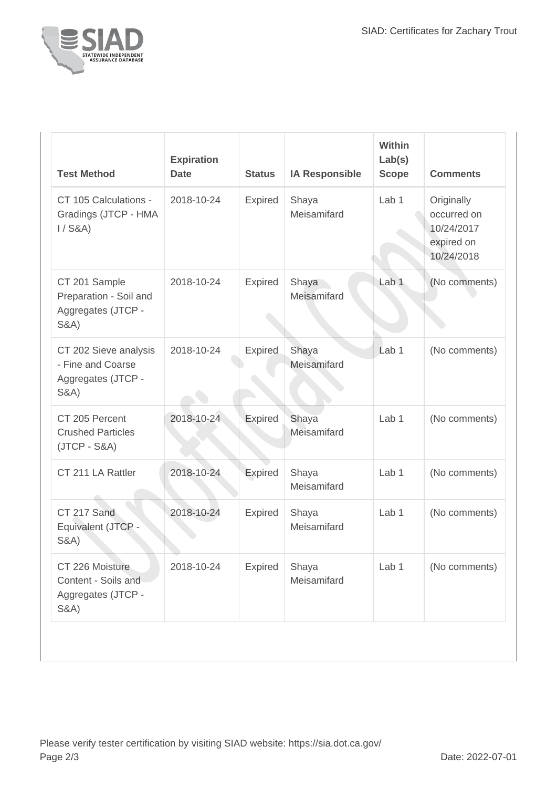

| <b>Test Method</b>                                                                  | <b>Expiration</b><br><b>Date</b> | <b>Status</b>  | <b>IA Responsible</b> | <b>Within</b><br>Lab(s)<br><b>Scope</b> | <b>Comments</b>                                                     |
|-------------------------------------------------------------------------------------|----------------------------------|----------------|-----------------------|-----------------------------------------|---------------------------------------------------------------------|
| CT 105 Calculations -<br>Gradings (JTCP - HMA<br>$1/$ S&A)                          | 2018-10-24                       | <b>Expired</b> | Shaya<br>Meisamifard  | Lab <sub>1</sub>                        | Originally<br>occurred on<br>10/24/2017<br>expired on<br>10/24/2018 |
| CT 201 Sample<br>Preparation - Soil and<br>Aggregates (JTCP -<br><b>S&amp;A)</b>    | 2018-10-24                       | <b>Expired</b> | Shaya<br>Meisamifard  | Lab 1                                   | (No comments)                                                       |
| CT 202 Sieve analysis<br>- Fine and Coarse<br>Aggregates (JTCP -<br><b>S&amp;A)</b> | 2018-10-24                       | Expired        | Shaya<br>Meisamifard  | Lab <sub>1</sub>                        | (No comments)                                                       |
| CT 205 Percent<br><b>Crushed Particles</b><br>$(JTCP - S&A)$                        | 2018-10-24                       | Expired        | Shaya<br>Meisamifard  | Lab <sub>1</sub>                        | (No comments)                                                       |
| CT 211 LA Rattler                                                                   | 2018-10-24                       | <b>Expired</b> | Shaya<br>Meisamifard  | Lab <sub>1</sub>                        | (No comments)                                                       |
| CT 217 Sand<br>Equivalent (JTCP -<br><b>S&amp;A)</b>                                | 2018-10-24                       | <b>Expired</b> | Shaya<br>Meisamifard  | Lab 1                                   | (No comments)                                                       |
| CT 226 Moisture<br>Content - Soils and<br>Aggregates (JTCP -<br><b>S&amp;A)</b>     | 2018-10-24                       | <b>Expired</b> | Shaya<br>Meisamifard  | Lab 1                                   | (No comments)                                                       |